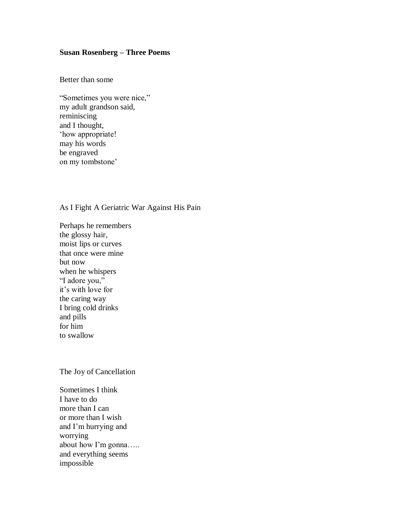## **Susan Rosenberg – Three Poems**

Better than some

"Sometimes you were nice," my adult grandson said, reminiscing and I thought, 'how appropriate! may his words be engraved on my tombstone'

## As I Fight A Geriatric War Against His Pain

Perhaps he remembers the glossy hair, moist lips or curves that once were mine but now when he whispers "I adore you," it"s with love for the caring way I bring cold drinks and pills for him to swallow

The Joy of Cancellation

Sometimes I think I have to do more than I can or more than I wish and I"m hurrying and worrying about how I"m gonna….. and everything seems impossible